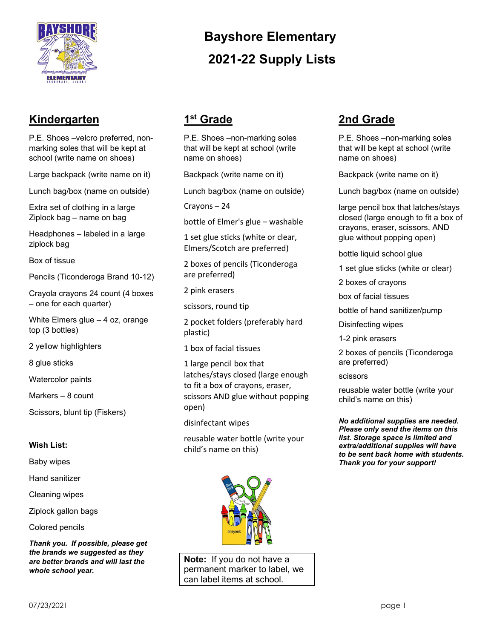

## **Kindergarten**

P.E. Shoes –velcro preferred, nonmarking soles that will be kept at school (write name on shoes)

Large backpack (write name on it)

Lunch bag/box (name on outside)

Extra set of clothing in a large Ziplock bag – name on bag

Headphones – labeled in a large ziplock bag

Box of tissue

Pencils (Ticonderoga Brand 10-12)

Crayola crayons 24 count (4 boxes – one for each quarter)

White Elmers glue – 4 oz, orange top (3 bottles)

2 yellow highlighters

8 glue sticks

Watercolor paints

Markers – 8 count

Scissors, blunt tip (Fiskers)

#### **Wish List:**

Baby wipes

Hand sanitizer

Cleaning wipes

Ziplock gallon bags

Colored pencils

*Thank you. If possible, please get the brands we suggested as they are better brands and will last the whole school year.* 

# **Bayshore Elementary 2021-22 Supply Lists**

# **1st Grade**

P.E. Shoes –non-marking soles that will be kept at school (write name on shoes)

Backpack (write name on it)

Lunch bag/box (name on outside)

Crayons – 24

bottle of Elmer's glue – washable

1 set glue sticks (white or clear, Elmers/Scotch are preferred)

2 boxes of pencils (Ticonderoga are preferred)

2 pink erasers

scissors, round tip

2 pocket folders (preferably hard plastic)

1 box of facial tissues

1 large pencil box that latches/stays closed (large enough to fit a box of crayons, eraser, scissors AND glue without popping open)

disinfectant wipes

reusable water bottle (write your child's name on this)



**Note:** If you do not have a permanent marker to label, we can label items at school.

## **2nd Grade**

P.E. Shoes –non-marking soles that will be kept at school (write name on shoes)

Backpack (write name on it)

Lunch bag/box (name on outside)

large pencil box that latches/stays closed (large enough to fit a box of crayons, eraser, scissors, AND glue without popping open)

bottle liquid school glue

1 set glue sticks (white or clear)

2 boxes of crayons

box of facial tissues

bottle of hand sanitizer/pump

Disinfecting wipes

1-2 pink erasers

2 boxes of pencils (Ticonderoga are preferred)

scissors

reusable water bottle (write your child's name on this)

*No additional supplies are needed. Please only send the items on this list. Storage space is limited and extra/additional supplies will have to be sent back home with students. Thank you for your support!*